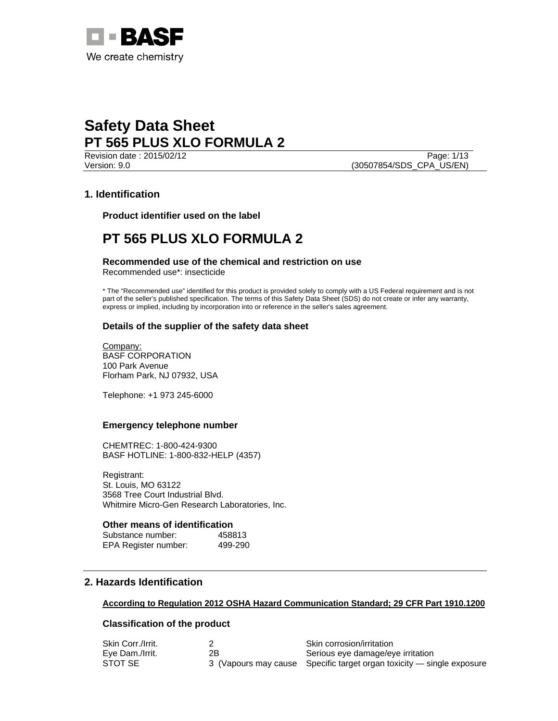

Revision date : 2015/02/12 Page: 1/13 Version: 9.0 (30507854/SDS\_CPA\_US/EN)

## **1. Identification**

**Product identifier used on the label** 

# **PT 565 PLUS XLO FORMULA 2**

**Recommended use of the chemical and restriction on use**  Recommended use\*: insecticide

\* The "Recommended use" identified for this product is provided solely to comply with a US Federal requirement and is not part of the seller's published specification. The terms of this Safety Data Sheet (SDS) do not create or infer any warranty, express or implied, including by incorporation into or reference in the seller's sales agreement.

## **Details of the supplier of the safety data sheet**

Company: BASF CORPORATION 100 Park Avenue Florham Park, NJ 07932, USA

Telephone: +1 973 245-6000

### **Emergency telephone number**

CHEMTREC: 1-800-424-9300 BASF HOTLINE: 1-800-832-HELP (4357)

Registrant: St. Louis, MO 63122 3568 Tree Court Industrial Blvd. Whitmire Micro-Gen Research Laboratories, Inc.

### **Other means of identification**

Substance number: 458813 EPA Register number: 499-290

## **2. Hazards Identification**

### **According to Regulation 2012 OSHA Hazard Communication Standard; 29 CFR Part 1910.1200**

### **Classification of the product**

| Skin Corr./Irrit. |    | Skin corrosion/irritation                                             |
|-------------------|----|-----------------------------------------------------------------------|
| Eve Dam./Irrit.   | 2В | Serious eye damage/eye irritation                                     |
| STOT SE           |    | 3 (Vapours may cause Specific target organ toxicity — single exposure |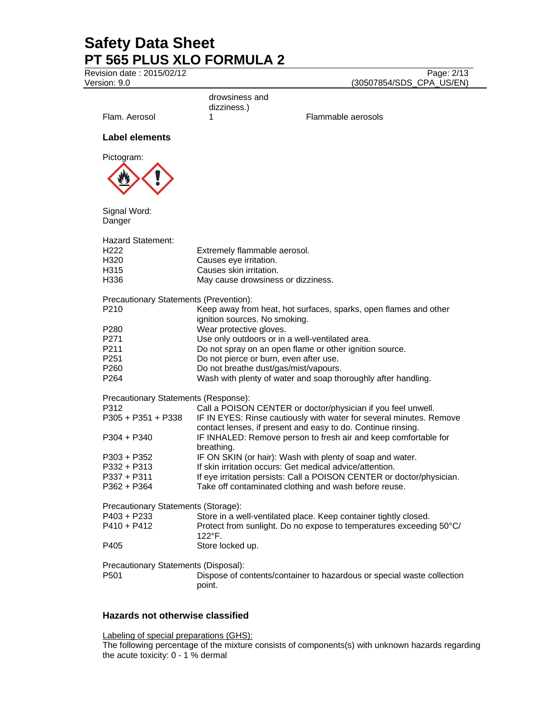Revision date : 2015/02/12 Page: 2/13 Version: 9.0 (30507854/SDS\_CPA\_US/EN)

|                                                                       | drowsiness and                                                                                                          |                                                                                                                                                                                                     |
|-----------------------------------------------------------------------|-------------------------------------------------------------------------------------------------------------------------|-----------------------------------------------------------------------------------------------------------------------------------------------------------------------------------------------------|
| Flam. Aerosol                                                         | dizziness.)<br>1                                                                                                        | Flammable aerosols                                                                                                                                                                                  |
| Label elements                                                        |                                                                                                                         |                                                                                                                                                                                                     |
| Pictogram:                                                            |                                                                                                                         |                                                                                                                                                                                                     |
|                                                                       |                                                                                                                         |                                                                                                                                                                                                     |
| Signal Word:<br>Danger                                                |                                                                                                                         |                                                                                                                                                                                                     |
| Hazard Statement:<br>H <sub>222</sub><br>H320<br>H315<br>H336         | Extremely flammable aerosol.<br>Causes eye irritation.<br>Causes skin irritation.<br>May cause drowsiness or dizziness. |                                                                                                                                                                                                     |
| Precautionary Statements (Prevention):<br>P210                        | ignition sources. No smoking.                                                                                           | Keep away from heat, hot surfaces, sparks, open flames and other                                                                                                                                    |
| P <sub>280</sub><br>P271                                              | Wear protective gloves.<br>Use only outdoors or in a well-ventilated area.                                              |                                                                                                                                                                                                     |
| P211<br>P <sub>251</sub>                                              | Do not pierce or burn, even after use.                                                                                  | Do not spray on an open flame or other ignition source.                                                                                                                                             |
| P <sub>260</sub><br>P <sub>264</sub>                                  | Do not breathe dust/gas/mist/vapours.                                                                                   | Wash with plenty of water and soap thoroughly after handling.                                                                                                                                       |
| Precautionary Statements (Response):<br>P312<br>$P305 + P351 + P338$  |                                                                                                                         | Call a POISON CENTER or doctor/physician if you feel unwell.<br>IF IN EYES: Rinse cautiously with water for several minutes. Remove<br>contact lenses, if present and easy to do. Continue rinsing. |
| $P304 + P340$                                                         | breathing.                                                                                                              | IF INHALED: Remove person to fresh air and keep comfortable for                                                                                                                                     |
| $P303 + P352$<br>P332 + P313                                          | If skin irritation occurs: Get medical advice/attention.                                                                | IF ON SKIN (or hair): Wash with plenty of soap and water.                                                                                                                                           |
| P337 + P311                                                           |                                                                                                                         | If eye irritation persists: Call a POISON CENTER or doctor/physician.                                                                                                                               |
| P362 + P364                                                           |                                                                                                                         | Take off contaminated clothing and wash before reuse.                                                                                                                                               |
| Precautionary Statements (Storage):<br>$P403 + P233$<br>$P410 + P412$ | 122°F.                                                                                                                  | Store in a well-ventilated place. Keep container tightly closed.<br>Protect from sunlight. Do no expose to temperatures exceeding 50°C/                                                             |
| P405                                                                  | Store locked up.                                                                                                        |                                                                                                                                                                                                     |
| Precautionary Statements (Disposal):<br>P <sub>501</sub>              | point.                                                                                                                  | Dispose of contents/container to hazardous or special waste collection                                                                                                                              |

## **Hazards not otherwise classified**

Labeling of special preparations (GHS):

The following percentage of the mixture consists of components(s) with unknown hazards regarding the acute toxicity: 0 - 1 % dermal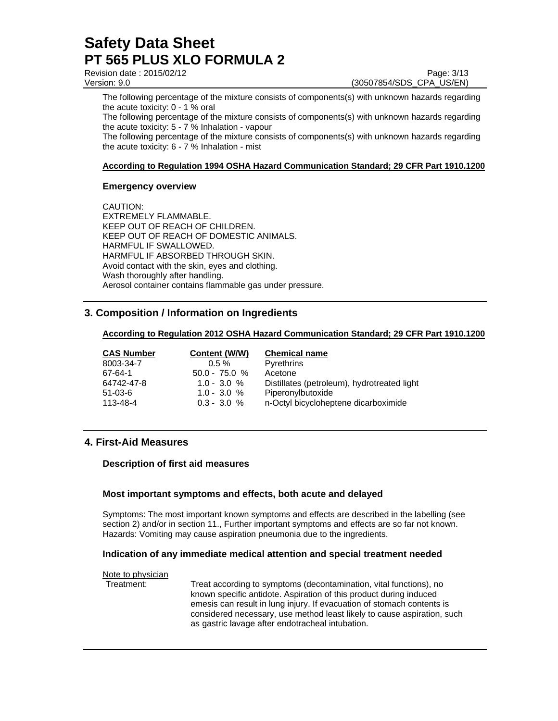| Revision date: 2015/02/12 | Page: 3/13               |
|---------------------------|--------------------------|
| Version: 9.0              | (30507854/SDS CPA US/EN) |

The following percentage of the mixture consists of components(s) with unknown hazards regarding the acute toxicity: 0 - 1 % oral

The following percentage of the mixture consists of components(s) with unknown hazards regarding the acute toxicity: 5 - 7 % Inhalation - vapour

The following percentage of the mixture consists of components(s) with unknown hazards regarding the acute toxicity: 6 - 7 % Inhalation - mist

#### **According to Regulation 1994 OSHA Hazard Communication Standard; 29 CFR Part 1910.1200**

### **Emergency overview**

CAUTION: EXTREMELY FLAMMABLE. KEEP OUT OF REACH OF CHILDREN. KEEP OUT OF REACH OF DOMESTIC ANIMALS. HARMFUL IF SWALLOWED. HARMFUL IF ABSORBED THROUGH SKIN. Avoid contact with the skin, eyes and clothing. Wash thoroughly after handling. Aerosol container contains flammable gas under pressure.

## **3. Composition / Information on Ingredients**

#### **According to Regulation 2012 OSHA Hazard Communication Standard; 29 CFR Part 1910.1200**

| <b>CAS Number</b> | Content (W/W)   | <b>Chemical name</b>                        |
|-------------------|-----------------|---------------------------------------------|
| 8003-34-7         | $0.5 \%$        | Pyrethrins                                  |
| 67-64-1           | $50.0 - 75.0 %$ | Acetone                                     |
| 64742-47-8        | $1.0 - 3.0 %$   | Distillates (petroleum), hydrotreated light |
| $51-03-6$         | $1.0 - 3.0 %$   | Piperonylbutoxide                           |
| 113-48-4          | $0.3 - 3.0 %$   | n-Octyl bicycloheptene dicarboximide        |

## **4. First-Aid Measures**

### **Description of first aid measures**

### **Most important symptoms and effects, both acute and delayed**

Symptoms: The most important known symptoms and effects are described in the labelling (see section 2) and/or in section 11., Further important symptoms and effects are so far not known. Hazards: Vomiting may cause aspiration pneumonia due to the ingredients.

### **Indication of any immediate medical attention and special treatment needed**

Note to physician Treatment: Treat according to symptoms (decontamination, vital functions), no known specific antidote. Aspiration of this product during induced emesis can result in lung injury. If evacuation of stomach contents is considered necessary, use method least likely to cause aspiration, such as gastric lavage after endotracheal intubation.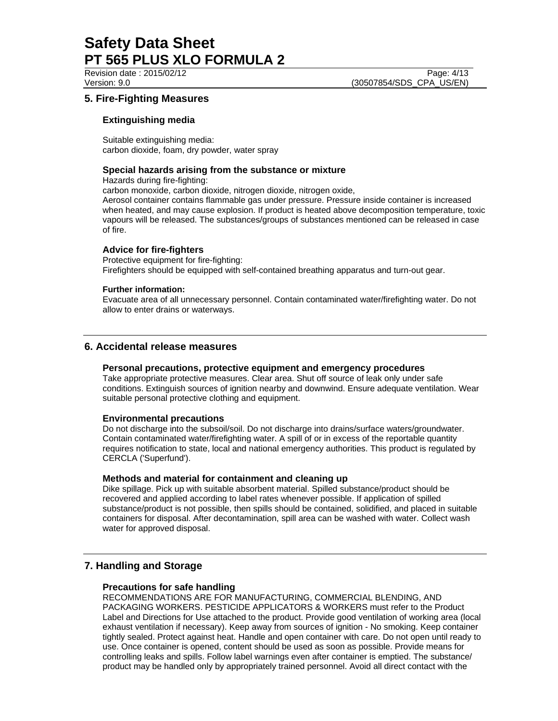Revision date : 2015/02/12 Page: 4/13 Version: 9.0 (30507854/SDS\_CPA\_US/EN)

## **5. Fire-Fighting Measures**

### **Extinguishing media**

Suitable extinguishing media: carbon dioxide, foam, dry powder, water spray

### **Special hazards arising from the substance or mixture**

Hazards during fire-fighting:

carbon monoxide, carbon dioxide, nitrogen dioxide, nitrogen oxide,

Aerosol container contains flammable gas under pressure. Pressure inside container is increased when heated, and may cause explosion. If product is heated above decomposition temperature, toxic vapours will be released. The substances/groups of substances mentioned can be released in case of fire.

### **Advice for fire-fighters**

Protective equipment for fire-fighting: Firefighters should be equipped with self-contained breathing apparatus and turn-out gear.

### **Further information:**

Evacuate area of all unnecessary personnel. Contain contaminated water/firefighting water. Do not allow to enter drains or waterways.

## **6. Accidental release measures**

### **Personal precautions, protective equipment and emergency procedures**

Take appropriate protective measures. Clear area. Shut off source of leak only under safe conditions. Extinguish sources of ignition nearby and downwind. Ensure adequate ventilation. Wear suitable personal protective clothing and equipment.

### **Environmental precautions**

Do not discharge into the subsoil/soil. Do not discharge into drains/surface waters/groundwater. Contain contaminated water/firefighting water. A spill of or in excess of the reportable quantity requires notification to state, local and national emergency authorities. This product is regulated by CERCLA ('Superfund').

### **Methods and material for containment and cleaning up**

Dike spillage. Pick up with suitable absorbent material. Spilled substance/product should be recovered and applied according to label rates whenever possible. If application of spilled substance/product is not possible, then spills should be contained, solidified, and placed in suitable containers for disposal. After decontamination, spill area can be washed with water. Collect wash water for approved disposal.

## **7. Handling and Storage**

## **Precautions for safe handling**

RECOMMENDATIONS ARE FOR MANUFACTURING, COMMERCIAL BLENDING, AND PACKAGING WORKERS. PESTICIDE APPLICATORS & WORKERS must refer to the Product Label and Directions for Use attached to the product. Provide good ventilation of working area (local exhaust ventilation if necessary). Keep away from sources of ignition - No smoking. Keep container tightly sealed. Protect against heat. Handle and open container with care. Do not open until ready to use. Once container is opened, content should be used as soon as possible. Provide means for controlling leaks and spills. Follow label warnings even after container is emptied. The substance/ product may be handled only by appropriately trained personnel. Avoid all direct contact with the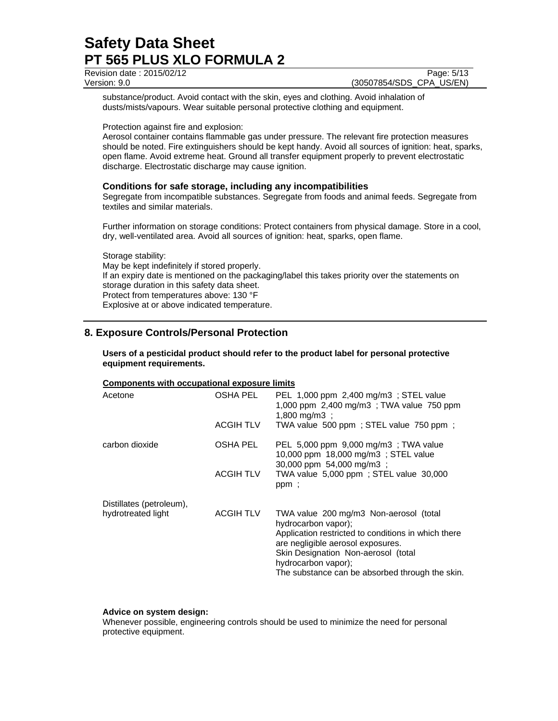| Revision date: 2015/02/12 | Page: 5/13               |
|---------------------------|--------------------------|
| Version: 9.0              | (30507854/SDS CPA US/EN) |

substance/product. Avoid contact with the skin, eyes and clothing. Avoid inhalation of dusts/mists/vapours. Wear suitable personal protective clothing and equipment.

Protection against fire and explosion:

Aerosol container contains flammable gas under pressure. The relevant fire protection measures should be noted. Fire extinguishers should be kept handy. Avoid all sources of ignition: heat, sparks, open flame. Avoid extreme heat. Ground all transfer equipment properly to prevent electrostatic discharge. Electrostatic discharge may cause ignition.

### **Conditions for safe storage, including any incompatibilities**

Segregate from incompatible substances. Segregate from foods and animal feeds. Segregate from textiles and similar materials.

Further information on storage conditions: Protect containers from physical damage. Store in a cool, dry, well-ventilated area. Avoid all sources of ignition: heat, sparks, open flame.

Storage stability: May be kept indefinitely if stored properly. If an expiry date is mentioned on the packaging/label this takes priority over the statements on storage duration in this safety data sheet. Protect from temperatures above: 130 °F Explosive at or above indicated temperature.

## **8. Exposure Controls/Personal Protection**

### **Users of a pesticidal product should refer to the product label for personal protective equipment requirements.**

### **Components with occupational exposure limits**

| OSHA PEL<br><b>ACGIH TLV</b> | PEL 1,000 ppm 2,400 mg/m3; STEL value<br>1,000 ppm 2,400 mg/m3; TWA value 750 ppm<br>$1,800 \text{ mg/m3}$ :<br>TWA value 500 ppm; STEL value 750 ppm;                                                                                                                     |
|------------------------------|----------------------------------------------------------------------------------------------------------------------------------------------------------------------------------------------------------------------------------------------------------------------------|
|                              |                                                                                                                                                                                                                                                                            |
| OSHA PEL                     | PEL 5,000 ppm 9,000 mg/m3; TWA value<br>10,000 ppm 18,000 mg/m3 ; STEL value<br>30,000 ppm 54,000 mg/m3;                                                                                                                                                                   |
| <b>ACGIH TLV</b>             | TWA value 5,000 ppm; STEL value 30,000<br>ppm;                                                                                                                                                                                                                             |
|                              |                                                                                                                                                                                                                                                                            |
| <b>ACGIH TLV</b>             | TWA value 200 mg/m3 Non-aerosol (total<br>hydrocarbon vapor);<br>Application restricted to conditions in which there<br>are negligible aerosol exposures.<br>Skin Designation Non-aerosol (total<br>hydrocarbon vapor);<br>The substance can be absorbed through the skin. |
|                              |                                                                                                                                                                                                                                                                            |

#### **Advice on system design:**

Whenever possible, engineering controls should be used to minimize the need for personal protective equipment.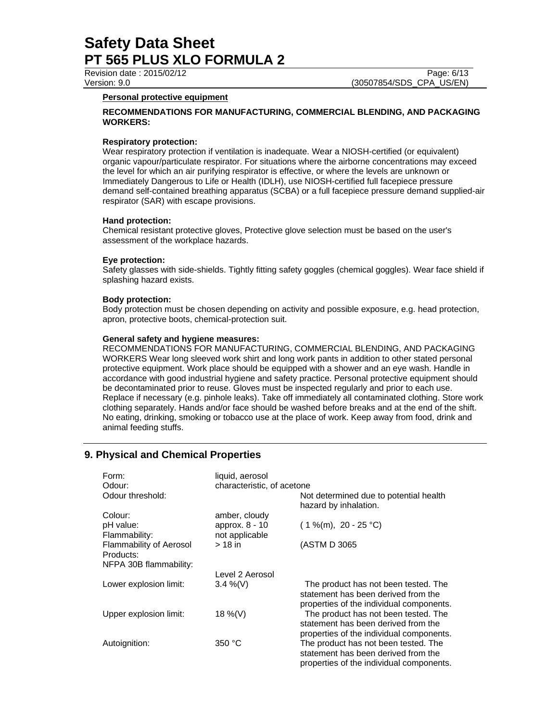### **Personal protective equipment**

### **RECOMMENDATIONS FOR MANUFACTURING, COMMERCIAL BLENDING, AND PACKAGING WORKERS:**

### **Respiratory protection:**

Wear respiratory protection if ventilation is inadequate. Wear a NIOSH-certified (or equivalent) organic vapour/particulate respirator. For situations where the airborne concentrations may exceed the level for which an air purifying respirator is effective, or where the levels are unknown or Immediately Dangerous to Life or Health (IDLH), use NIOSH-certified full facepiece pressure demand self-contained breathing apparatus (SCBA) or a full facepiece pressure demand supplied-air respirator (SAR) with escape provisions.

### **Hand protection:**

Chemical resistant protective gloves, Protective glove selection must be based on the user's assessment of the workplace hazards.

### **Eye protection:**

Safety glasses with side-shields. Tightly fitting safety goggles (chemical goggles). Wear face shield if splashing hazard exists.

### **Body protection:**

Body protection must be chosen depending on activity and possible exposure, e.g. head protection, apron, protective boots, chemical-protection suit.

#### **General safety and hygiene measures:**

RECOMMENDATIONS FOR MANUFACTURING, COMMERCIAL BLENDING, AND PACKAGING WORKERS Wear long sleeved work shirt and long work pants in addition to other stated personal protective equipment. Work place should be equipped with a shower and an eye wash. Handle in accordance with good industrial hygiene and safety practice. Personal protective equipment should be decontaminated prior to reuse. Gloves must be inspected regularly and prior to each use. Replace if necessary (e.g. pinhole leaks). Take off immediately all contaminated clothing. Store work clothing separately. Hands and/or face should be washed before breaks and at the end of the shift. No eating, drinking, smoking or tobacco use at the place of work. Keep away from food, drink and animal feeding stuffs.

## **9. Physical and Chemical Properties**

| Form:<br>Odour:                             | liquid, aerosol<br>characteristic, of acetone |                                                                                                                         |
|---------------------------------------------|-----------------------------------------------|-------------------------------------------------------------------------------------------------------------------------|
| Odour threshold:                            |                                               | Not determined due to potential health<br>hazard by inhalation.                                                         |
| Colour:                                     | amber, cloudy                                 |                                                                                                                         |
| pH value:<br>Flammability:                  | approx. 8 - 10<br>not applicable              | $(1\%$ (m), 20 - 25 °C)                                                                                                 |
| <b>Flammability of Aerosol</b><br>Products: | $>18$ in                                      | (ASTM D 3065                                                                                                            |
| NFPA 30B flammability:                      |                                               |                                                                                                                         |
|                                             | Level 2 Aerosol                               |                                                                                                                         |
| Lower explosion limit:                      | $3.4\%$ (V)                                   | The product has not been tested. The<br>statement has been derived from the<br>properties of the individual components. |
| Upper explosion limit:                      | 18 %(V)                                       | The product has not been tested. The<br>statement has been derived from the<br>properties of the individual components. |
| Autoignition:                               | 350 °C                                        | The product has not been tested. The<br>statement has been derived from the<br>properties of the individual components. |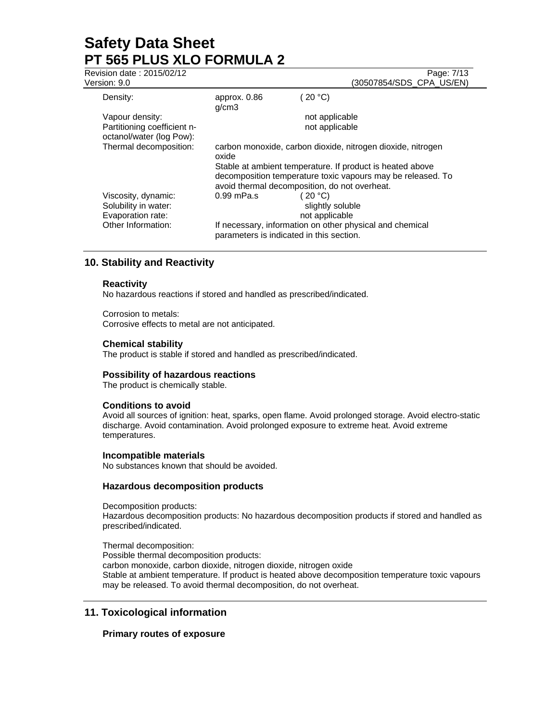| Revision date: 2015/02/12<br>Version: 9.0                                              |                                                                                                                                                                                                                                                   | Page: 7/13<br>(30507854/SDS_CPA_US/EN)                                                                                                                |  |
|----------------------------------------------------------------------------------------|---------------------------------------------------------------------------------------------------------------------------------------------------------------------------------------------------------------------------------------------------|-------------------------------------------------------------------------------------------------------------------------------------------------------|--|
| Density:                                                                               | approx. 0.86<br>g/cm3                                                                                                                                                                                                                             | (20 °C)                                                                                                                                               |  |
| Vapour density:<br>Partitioning coefficient n-<br>octanol/water (log Pow):             |                                                                                                                                                                                                                                                   | not applicable<br>not applicable                                                                                                                      |  |
| Thermal decomposition:                                                                 | carbon monoxide, carbon dioxide, nitrogen dioxide, nitrogen<br>oxide<br>Stable at ambient temperature. If product is heated above<br>decomposition temperature toxic vapours may be released. To<br>avoid thermal decomposition, do not overheat. |                                                                                                                                                       |  |
| Viscosity, dynamic:<br>Solubility in water:<br>Evaporation rate:<br>Other Information: | $0.99$ mPa.s                                                                                                                                                                                                                                      | (20 °C)<br>slightly soluble<br>not applicable<br>If necessary, information on other physical and chemical<br>parameters is indicated in this section. |  |

## **10. Stability and Reactivity**

### **Reactivity**

No hazardous reactions if stored and handled as prescribed/indicated.

Corrosion to metals: Corrosive effects to metal are not anticipated.

### **Chemical stability**

The product is stable if stored and handled as prescribed/indicated.

### **Possibility of hazardous reactions**

The product is chemically stable.

### **Conditions to avoid**

Avoid all sources of ignition: heat, sparks, open flame. Avoid prolonged storage. Avoid electro-static discharge. Avoid contamination. Avoid prolonged exposure to extreme heat. Avoid extreme temperatures.

### **Incompatible materials**

No substances known that should be avoided.

### **Hazardous decomposition products**

Decomposition products: Hazardous decomposition products: No hazardous decomposition products if stored and handled as prescribed/indicated.

Thermal decomposition: Possible thermal decomposition products: carbon monoxide, carbon dioxide, nitrogen dioxide, nitrogen oxide Stable at ambient temperature. If product is heated above decomposition temperature toxic vapours may be released. To avoid thermal decomposition, do not overheat.

## **11. Toxicological information**

## **Primary routes of exposure**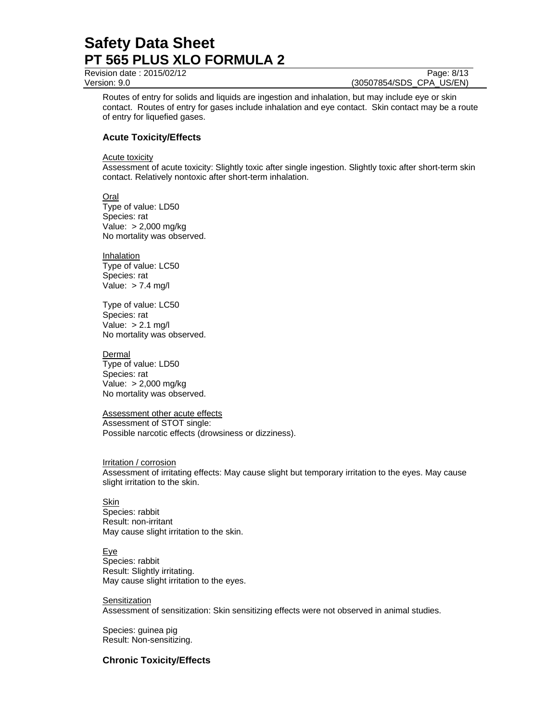Revision date : 2015/02/12 Page: 8/13

Version: 9.0 (30507854/SDS\_CPA\_US/EN)

Routes of entry for solids and liquids are ingestion and inhalation, but may include eye or skin contact. Routes of entry for gases include inhalation and eye contact. Skin contact may be a route of entry for liquefied gases.

## **Acute Toxicity/Effects**

**Acute toxicity** 

Assessment of acute toxicity: Slightly toxic after single ingestion. Slightly toxic after short-term skin contact. Relatively nontoxic after short-term inhalation.

Oral Type of value: LD50 Species: rat Value: > 2,000 mg/kg No mortality was observed.

**Inhalation** Type of value: LC50 Species: rat Value:  $> 7.4$  mg/l

Type of value: LC50 Species: rat Value: > 2.1 mg/l No mortality was observed.

**Dermal** 

Type of value: LD50 Species: rat Value: > 2,000 mg/kg No mortality was observed.

Assessment other acute effects Assessment of STOT single: Possible narcotic effects (drowsiness or dizziness).

Irritation / corrosion Assessment of irritating effects: May cause slight but temporary irritation to the eyes. May cause slight irritation to the skin.

Skin Species: rabbit Result: non-irritant May cause slight irritation to the skin.

Eye Species: rabbit Result: Slightly irritating. May cause slight irritation to the eyes.

**Sensitization** Assessment of sensitization: Skin sensitizing effects were not observed in animal studies.

Species: guinea pig Result: Non-sensitizing.

**Chronic Toxicity/Effects**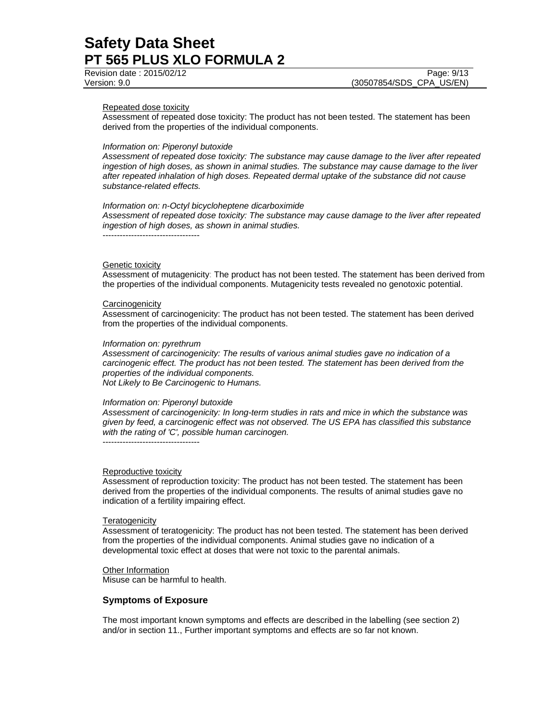Revision date : 2015/02/12 Page: 9/13 Version: 9.0 (30507854/SDS\_CPA\_US/EN)

#### Repeated dose toxicity

Assessment of repeated dose toxicity: The product has not been tested. The statement has been derived from the properties of the individual components.

#### *Information on: Piperonyl butoxide*

*Assessment of repeated dose toxicity: The substance may cause damage to the liver after repeated ingestion of high doses, as shown in animal studies. The substance may cause damage to the liver after repeated inhalation of high doses. Repeated dermal uptake of the substance did not cause substance-related effects.* 

#### *Information on: n-Octyl bicycloheptene dicarboximide*

*Assessment of repeated dose toxicity: The substance may cause damage to the liver after repeated ingestion of high doses, as shown in animal studies.* 

#### Genetic toxicity

Assessment of mutagenicity: The product has not been tested. The statement has been derived from the properties of the individual components. Mutagenicity tests revealed no genotoxic potential.

#### **Carcinogenicity**

Assessment of carcinogenicity: The product has not been tested. The statement has been derived from the properties of the individual components.

#### *Information on: pyrethrum*

----------------------------------

*Assessment of carcinogenicity: The results of various animal studies gave no indication of a carcinogenic effect. The product has not been tested. The statement has been derived from the properties of the individual components. Not Likely to Be Carcinogenic to Humans.* 

#### *Information on: Piperonyl butoxide*

*Assessment of carcinogenicity: In long-term studies in rats and mice in which the substance was given by feed, a carcinogenic effect was not observed. The US EPA has classified this substance with the rating of 'C', possible human carcinogen.* 

#### Reproductive toxicity

----------------------------------

Assessment of reproduction toxicity: The product has not been tested. The statement has been derived from the properties of the individual components. The results of animal studies gave no indication of a fertility impairing effect.

#### **Teratogenicity**

Assessment of teratogenicity: The product has not been tested. The statement has been derived from the properties of the individual components. Animal studies gave no indication of a developmental toxic effect at doses that were not toxic to the parental animals.

#### Other Information

Misuse can be harmful to health.

#### **Symptoms of Exposure**

The most important known symptoms and effects are described in the labelling (see section 2) and/or in section 11., Further important symptoms and effects are so far not known.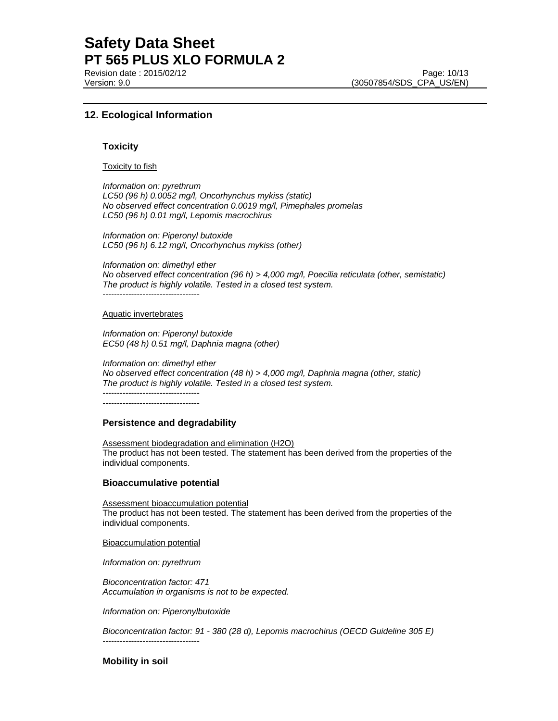Revision date : 2015/02/12 Page: 10/13

Version: 9.0 (30507854/SDS\_CPA\_US/EN)

## **12. Ecological Information**

#### **Toxicity**

#### Toxicity to fish

*Information on: pyrethrum LC50 (96 h) 0.0052 mg/l, Oncorhynchus mykiss (static) No observed effect concentration 0.0019 mg/l, Pimephales promelas LC50 (96 h) 0.01 mg/l, Lepomis macrochirus* 

*Information on: Piperonyl butoxide LC50 (96 h) 6.12 mg/l, Oncorhynchus mykiss (other)* 

*Information on: dimethyl ether No observed effect concentration (96 h) > 4,000 mg/l, Poecilia reticulata (other, semistatic) The product is highly volatile. Tested in a closed test system.*  ----------------------------------

## Aquatic invertebrates

*Information on: Piperonyl butoxide EC50 (48 h) 0.51 mg/l, Daphnia magna (other)* 

*Information on: dimethyl ether No observed effect concentration (48 h) > 4,000 mg/l, Daphnia magna (other, static) The product is highly volatile. Tested in a closed test system.*  ----------------------------------

----------------------------------

#### **Persistence and degradability**

Assessment biodegradation and elimination (H2O) The product has not been tested. The statement has been derived from the properties of the individual components.

#### **Bioaccumulative potential**

Assessment bioaccumulation potential The product has not been tested. The statement has been derived from the properties of the individual components.

Bioaccumulation potential

*Information on: pyrethrum* 

----------------------------------

*Bioconcentration factor: 471 Accumulation in organisms is not to be expected.* 

*Information on: Piperonylbutoxide* 

*Bioconcentration factor: 91 - 380 (28 d), Lepomis macrochirus (OECD Guideline 305 E)* 

### **Mobility in soil**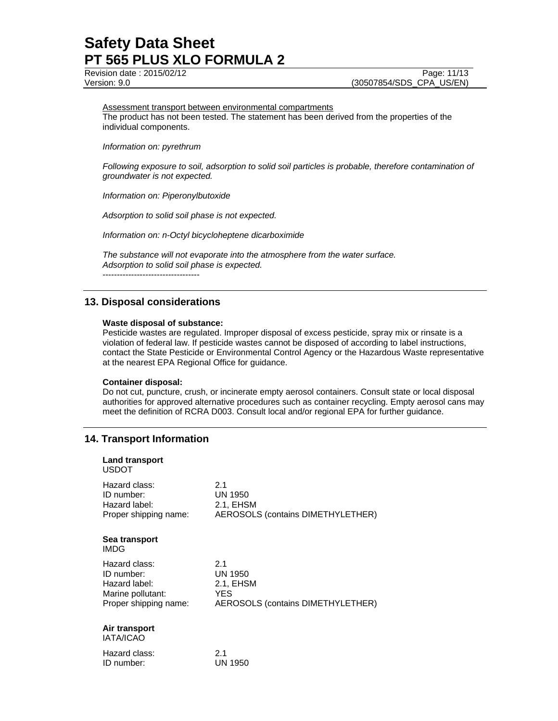Revision date : 2015/02/12 Page: 11/13 Version: 9.0 (30507854/SDS\_CPA\_US/EN)

## Assessment transport between environmental compartments

The product has not been tested. The statement has been derived from the properties of the individual components.

*Information on: pyrethrum* 

*Following exposure to soil, adsorption to solid soil particles is probable, therefore contamination of groundwater is not expected.*

*Information on: Piperonylbutoxide* 

*Adsorption to solid soil phase is not expected.*

*Information on: n-Octyl bicycloheptene dicarboximide* 

*The substance will not evaporate into the atmosphere from the water surface. Adsorption to solid soil phase is expected.*

----------------------------------

## **13. Disposal considerations**

### **Waste disposal of substance:**

Pesticide wastes are regulated. Improper disposal of excess pesticide, spray mix or rinsate is a violation of federal law. If pesticide wastes cannot be disposed of according to label instructions, contact the State Pesticide or Environmental Control Agency or the Hazardous Waste representative at the nearest EPA Regional Office for guidance.

### **Container disposal:**

Do not cut, puncture, crush, or incinerate empty aerosol containers. Consult state or local disposal authorities for approved alternative procedures such as container recycling. Empty aerosol cans may meet the definition of RCRA D003. Consult local and/or regional EPA for further guidance.

## **14. Transport Information**

ID number: UN 1950

| <b>Land transport</b><br><b>USDOT</b>                                                      |                                                                                |
|--------------------------------------------------------------------------------------------|--------------------------------------------------------------------------------|
| Hazard class:<br>ID number:<br>Hazard label:<br>Proper shipping name:                      | 2.1<br>UN 1950<br>2.1, EHSM<br>AEROSOLS (contains DIMETHYLETHER)               |
| Sea transport<br>IMDG                                                                      |                                                                                |
| Hazard class:<br>ID number:<br>Hazard label:<br>Marine pollutant:<br>Proper shipping name: | 2.1<br>UN 1950<br>2.1, EHSM<br><b>YES</b><br>AEROSOLS (contains DIMETHYLETHER) |
| Air transport<br><b>IATA/ICAO</b>                                                          |                                                                                |
| Hazard class:                                                                              | 2.1                                                                            |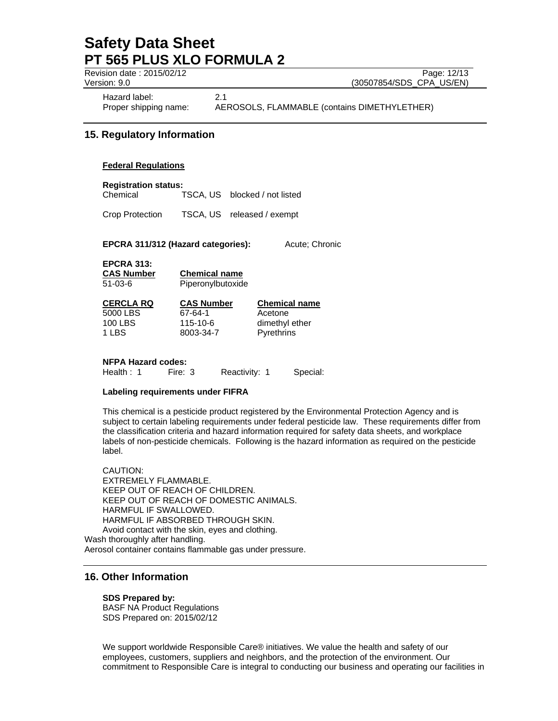Revision date : 2015/02/12 Page: 12/13

Version: 9.0 (30507854/SDS\_CPA\_US/EN)

Hazard label: 2.1

Proper shipping name: AEROSOLS, FLAMMABLE (contains DIMETHYLETHER)

## **15. Regulatory Information**

### **Federal Regulations**

**Registration status:** 

Chemical TSCA, US blocked / not listed

Crop Protection TSCA, US released / exempt

**EPCRA 311/312 (Hazard categories):** Acute; Chronic

**EPCRA 313:** 

**CAS Number Chemical name**

51-03-6 Piperonylbutoxide

| CERCLA RQ | <b>CAS Number</b> | <b>Chemical name</b> |
|-----------|-------------------|----------------------|
| 5000 LBS  | 67-64-1           | Acetone              |
| 100 LBS   | 115-10-6          | dimethyl ether       |
| 1 LBS     | 8003-34-7         | Pyrethrins           |
|           |                   |                      |

#### **NFPA Hazard codes:**

Health : 1 Fire: 3 Reactivity: 1 Special:

### **Labeling requirements under FIFRA**

This chemical is a pesticide product registered by the Environmental Protection Agency and is subject to certain labeling requirements under federal pesticide law. These requirements differ from the classification criteria and hazard information required for safety data sheets, and workplace labels of non-pesticide chemicals. Following is the hazard information as required on the pesticide label.

CAUTION: EXTREMELY FLAMMABLE. KEEP OUT OF REACH OF CHILDREN. KEEP OUT OF REACH OF DOMESTIC ANIMALS. HARMFUL IF SWALLOWED. HARMFUL IF ABSORBED THROUGH SKIN. Avoid contact with the skin, eyes and clothing. Wash thoroughly after handling.

Aerosol container contains flammable gas under pressure.

## **16. Other Information**

#### **SDS Prepared by:**

BASF NA Product Regulations SDS Prepared on: 2015/02/12

We support worldwide Responsible Care® initiatives. We value the health and safety of our employees, customers, suppliers and neighbors, and the protection of the environment. Our commitment to Responsible Care is integral to conducting our business and operating our facilities in